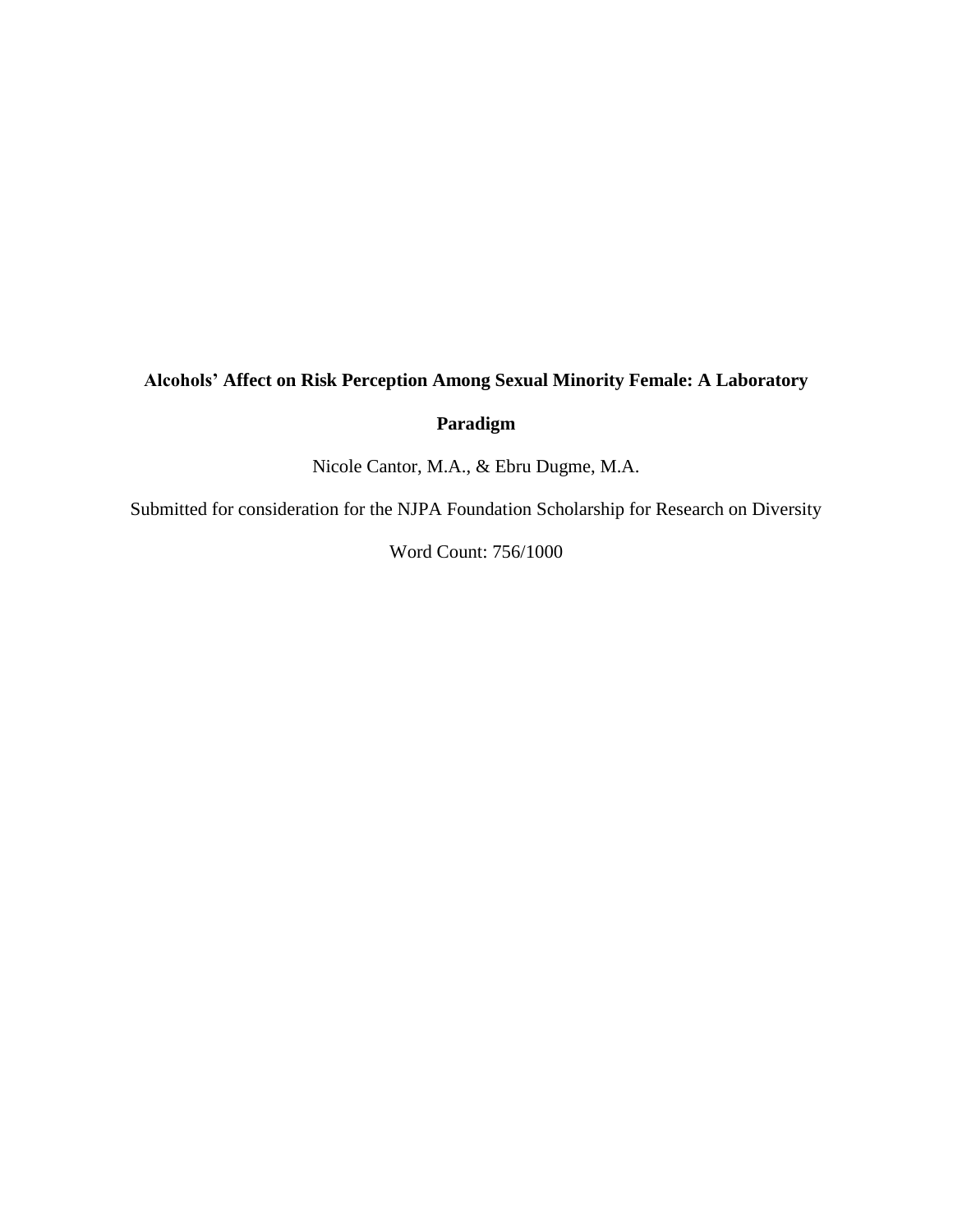## **Alcohols' Affect on Risk Perception Among Sexual Minority Female: A Laboratory**

## **Paradigm**

Nicole Cantor, M.A., & Ebru Dugme, M.A.

Submitted for consideration for the NJPA Foundation Scholarship for Research on Diversity

Word Count: 756/1000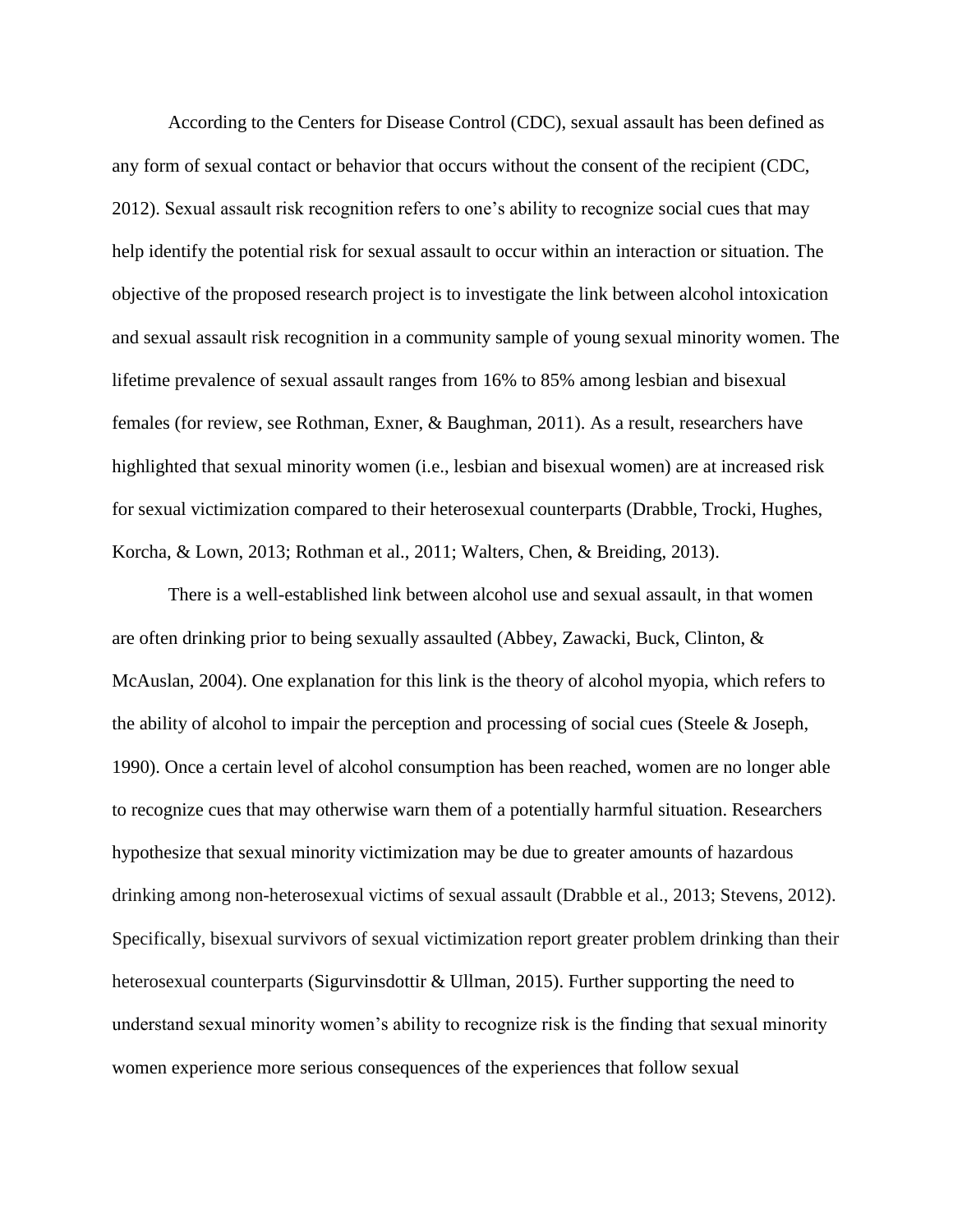According to the Centers for Disease Control (CDC), sexual assault has been defined as any form of sexual contact or behavior that occurs without the consent of the recipient (CDC, 2012). Sexual assault risk recognition refers to one's ability to recognize social cues that may help identify the potential risk for sexual assault to occur within an interaction or situation. The objective of the proposed research project is to investigate the link between alcohol intoxication and sexual assault risk recognition in a community sample of young sexual minority women. The lifetime prevalence of sexual assault ranges from 16% to 85% among lesbian and bisexual females (for review, see Rothman, Exner, & Baughman, 2011). As a result, researchers have highlighted that sexual minority women (i.e., lesbian and bisexual women) are at increased risk for sexual victimization compared to their heterosexual counterparts (Drabble, Trocki, Hughes, Korcha, & Lown, 2013; Rothman et al., 2011; Walters, Chen, & Breiding, 2013).

There is a well-established link between alcohol use and sexual assault, in that women are often drinking prior to being sexually assaulted (Abbey, Zawacki, Buck, Clinton, & McAuslan, 2004). One explanation for this link is the theory of alcohol myopia, which refers to the ability of alcohol to impair the perception and processing of social cues (Steele & Joseph, 1990). Once a certain level of alcohol consumption has been reached, women are no longer able to recognize cues that may otherwise warn them of a potentially harmful situation. Researchers hypothesize that sexual minority victimization may be due to greater amounts of hazardous drinking among non-heterosexual victims of sexual assault (Drabble et al., 2013; Stevens, 2012). Specifically, bisexual survivors of sexual victimization report greater problem drinking than their heterosexual counterparts (Sigurvinsdottir & Ullman, 2015). Further supporting the need to understand sexual minority women's ability to recognize risk is the finding that sexual minority women experience more serious consequences of the experiences that follow sexual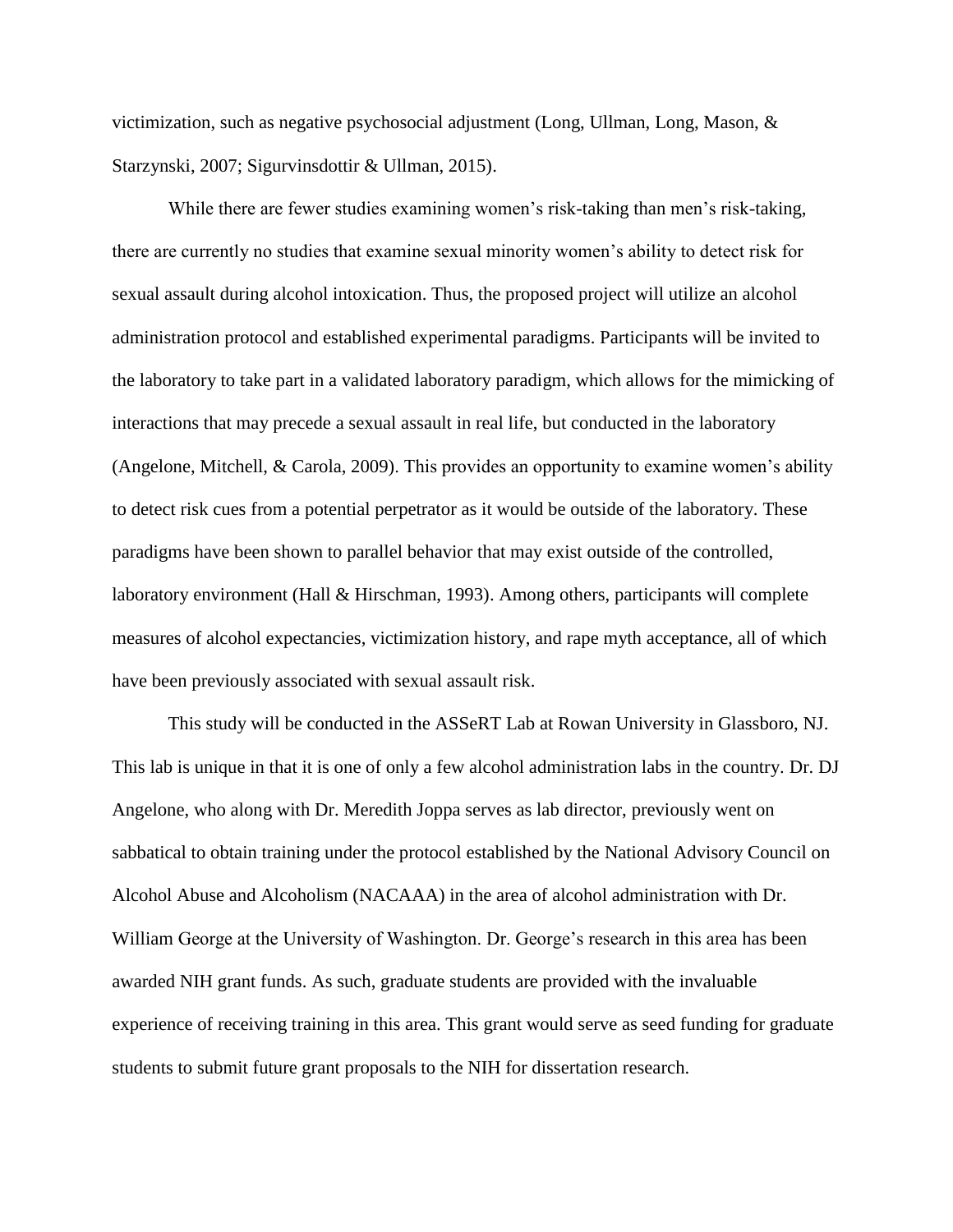victimization, such as negative psychosocial adjustment (Long, Ullman, Long, Mason, & Starzynski, 2007; Sigurvinsdottir & Ullman, 2015).

While there are fewer studies examining women's risk-taking than men's risk-taking, there are currently no studies that examine sexual minority women's ability to detect risk for sexual assault during alcohol intoxication. Thus, the proposed project will utilize an alcohol administration protocol and established experimental paradigms. Participants will be invited to the laboratory to take part in a validated laboratory paradigm, which allows for the mimicking of interactions that may precede a sexual assault in real life, but conducted in the laboratory (Angelone, Mitchell, & Carola, 2009). This provides an opportunity to examine women's ability to detect risk cues from a potential perpetrator as it would be outside of the laboratory. These paradigms have been shown to parallel behavior that may exist outside of the controlled, laboratory environment (Hall & Hirschman, 1993). Among others, participants will complete measures of alcohol expectancies, victimization history, and rape myth acceptance, all of which have been previously associated with sexual assault risk.

This study will be conducted in the ASSeRT Lab at Rowan University in Glassboro, NJ. This lab is unique in that it is one of only a few alcohol administration labs in the country. Dr. DJ Angelone, who along with Dr. Meredith Joppa serves as lab director, previously went on sabbatical to obtain training under the protocol established by the National Advisory Council on Alcohol Abuse and Alcoholism (NACAAA) in the area of alcohol administration with Dr. William George at the University of Washington. Dr. George's research in this area has been awarded NIH grant funds. As such, graduate students are provided with the invaluable experience of receiving training in this area. This grant would serve as seed funding for graduate students to submit future grant proposals to the NIH for dissertation research.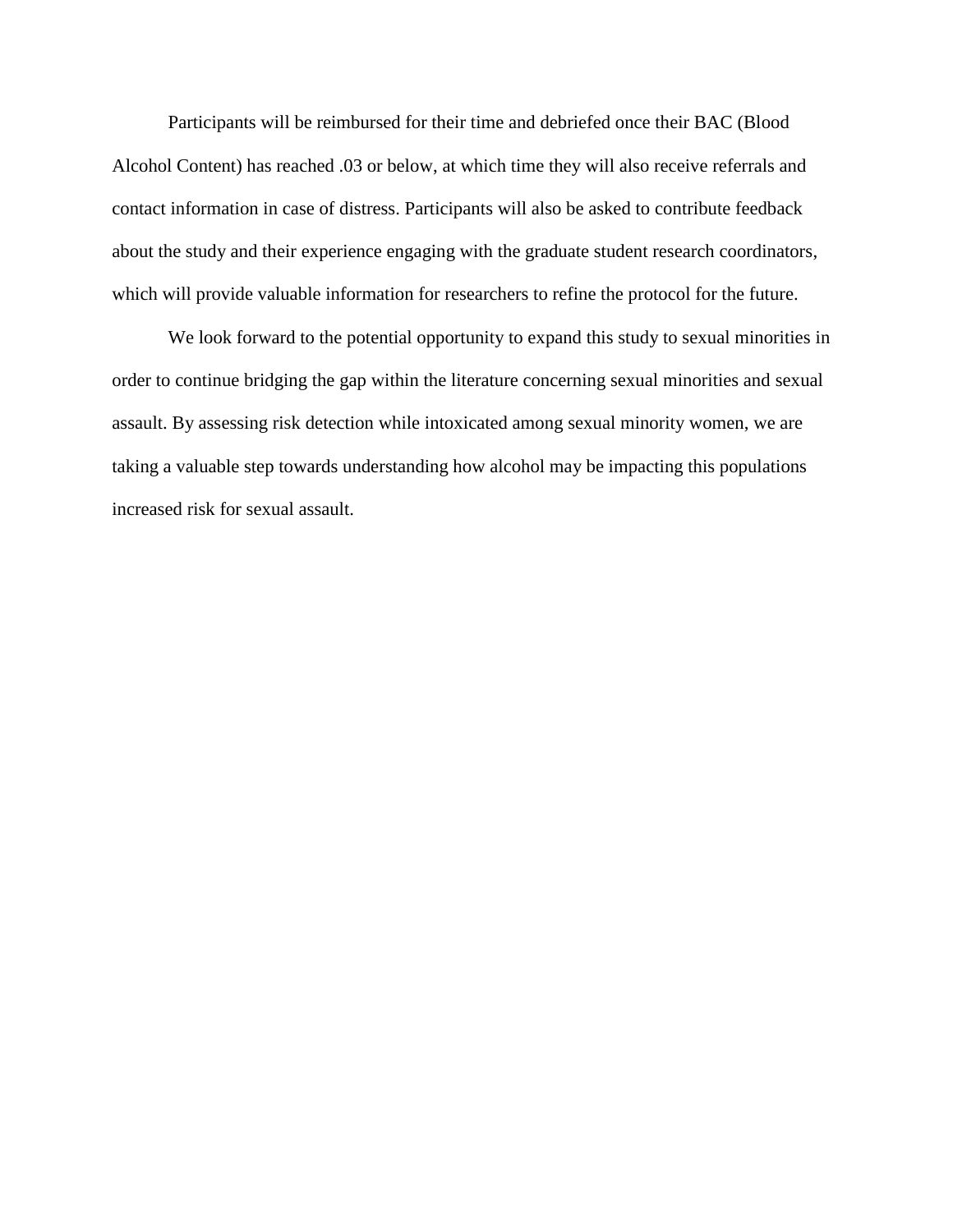Participants will be reimbursed for their time and debriefed once their BAC (Blood Alcohol Content) has reached .03 or below, at which time they will also receive referrals and contact information in case of distress. Participants will also be asked to contribute feedback about the study and their experience engaging with the graduate student research coordinators, which will provide valuable information for researchers to refine the protocol for the future.

We look forward to the potential opportunity to expand this study to sexual minorities in order to continue bridging the gap within the literature concerning sexual minorities and sexual assault. By assessing risk detection while intoxicated among sexual minority women, we are taking a valuable step towards understanding how alcohol may be impacting this populations increased risk for sexual assault.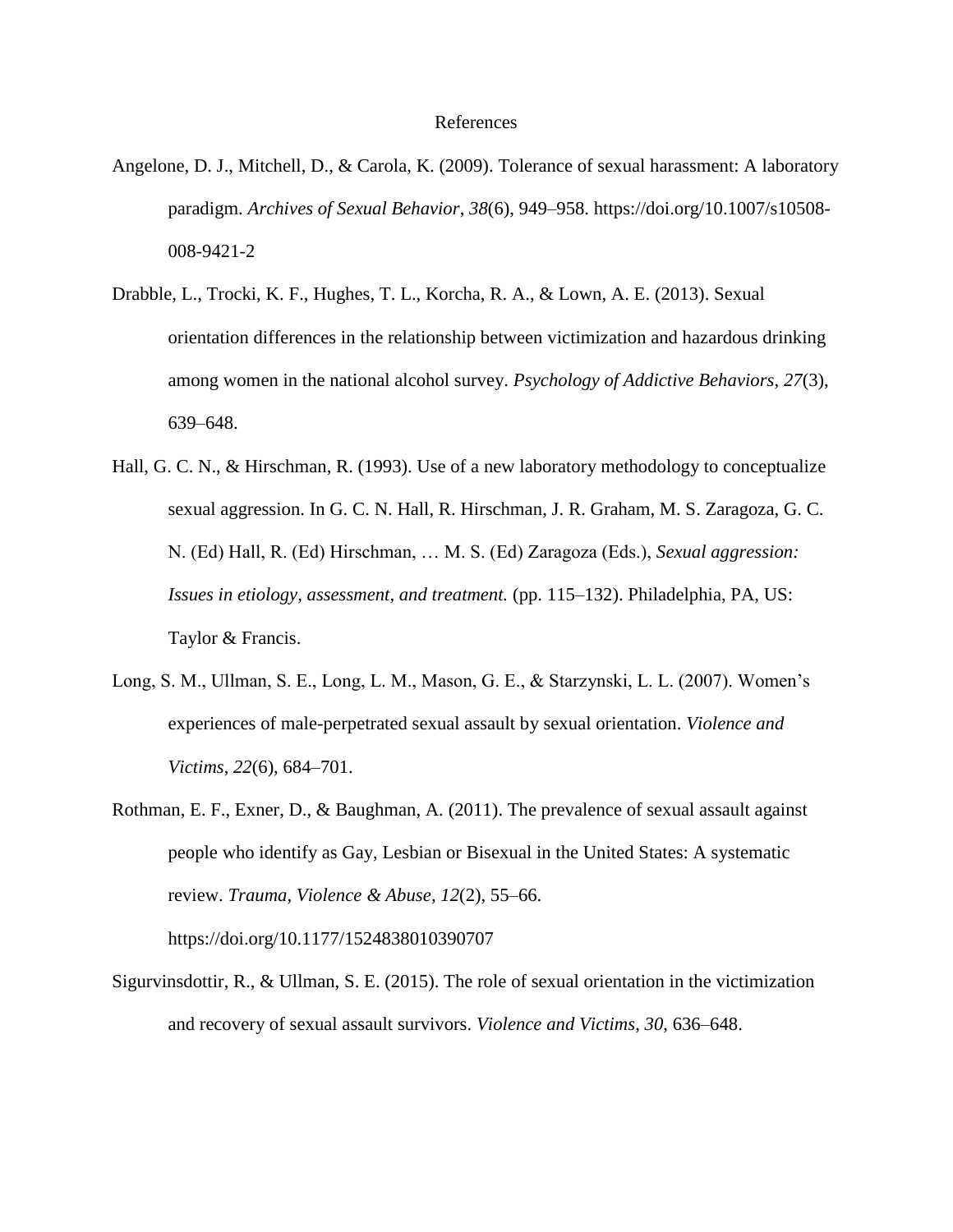## References

- Angelone, D. J., Mitchell, D., & Carola, K. (2009). Tolerance of sexual harassment: A laboratory paradigm. *Archives of Sexual Behavior*, *38*(6), 949–958. https://doi.org/10.1007/s10508- 008-9421-2
- Drabble, L., Trocki, K. F., Hughes, T. L., Korcha, R. A., & Lown, A. E. (2013). Sexual orientation differences in the relationship between victimization and hazardous drinking among women in the national alcohol survey. *Psychology of Addictive Behaviors*, *27*(3), 639–648.
- Hall, G. C. N., & Hirschman, R. (1993). Use of a new laboratory methodology to conceptualize sexual aggression. In G. C. N. Hall, R. Hirschman, J. R. Graham, M. S. Zaragoza, G. C. N. (Ed) Hall, R. (Ed) Hirschman, … M. S. (Ed) Zaragoza (Eds.), *Sexual aggression: Issues in etiology, assessment, and treatment.* (pp. 115–132). Philadelphia, PA, US: Taylor & Francis.
- Long, S. M., Ullman, S. E., Long, L. M., Mason, G. E., & Starzynski, L. L. (2007). Women's experiences of male-perpetrated sexual assault by sexual orientation. *Violence and Victims*, *22*(6), 684–701.
- Rothman, E. F., Exner, D., & Baughman, A. (2011). The prevalence of sexual assault against people who identify as Gay, Lesbian or Bisexual in the United States: A systematic review. *Trauma, Violence & Abuse*, *12*(2), 55–66. https://doi.org/10.1177/1524838010390707
- Sigurvinsdottir, R., & Ullman, S. E. (2015). The role of sexual orientation in the victimization and recovery of sexual assault survivors. *Violence and Victims*, *30*, 636–648.